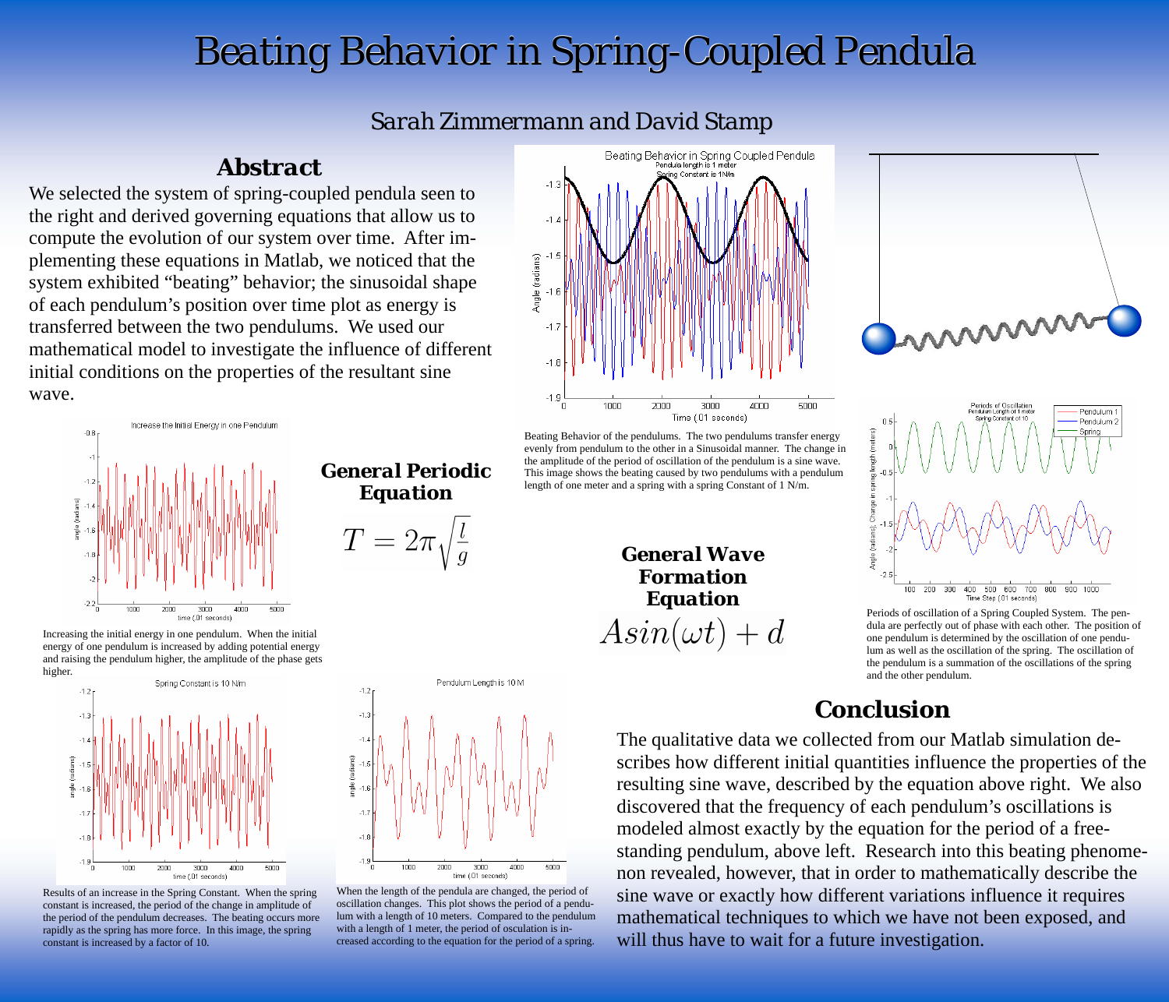## *Sarah Zimmermann and David Stamp*



## *Abstract*

## *Conclusion*

We selected the system of spring-coupled pendula seen to the right and derived governing equations that allow us to compute the evolution of our system over time. After implementing these equations in Matlab, we noticed that the system exhibited "beating" behavior; the sinusoidal shape of each pendulum's position over time plot as energy is transferred between the two pendulums. We used our mathematical model to investigate the influence of different initial conditions on the properties of the resultant sine wave.

> The qualitative data we collected from our Matlab simulation describes how different initial quantities influence the properties of the resulting sine wave, described by the equation above right. We also discovered that the frequency of each pendulum's oscillations is modeled almost exactly by the equation for the period of a freestanding pendulum, above left. Research into this beating phenomenon revealed, however, that in order to mathematically describe the sine wave or exactly how different variations influence it requires mathematical techniques to which we have not been exposed, and will thus have to wait for a future investigation.









*General Wave Formation Equation*   $Asin(\omega t) + d$ 



Results of an increase in the Spring Constant. When the spring constant is increased, the period of the change in amplitude of the period of the pendulum decreases. The beating occurs more rapidly as the spring has more force. In this image, the spring constant is increased by a factor of 10.

Periods of oscillation of a Spring Coupled System. The pendula are perfectly out of phase with each other. The position of one pendulum is determined by the oscillation of one pendulum as well as the oscillation of the spring. The oscillation of the pendulum is a summation of the oscillations of the spring and the other pendulum.

When the length of the pendula are changed, the period of oscillation changes. This plot shows the period of a pendulum with a length of 10 meters. Compared to the pendulum with a length of 1 meter, the period of osculation is increased according to the equation for the period of a spring.

*General Periodic Equation* 

 $T=2\pi$ 



Beating Behavior of the pendulums. The two pendulums transfer energy evenly from pendulum to the other in a Sinusoidal manner. The change in the amplitude of the period of oscillation of the pendulum is a sine wave. This image shows the beating caused by two pendulums with a pendulum length of one meter and a spring with a spring Constant of 1 N/m.

![](_page_0_Figure_4.jpeg)

![](_page_0_Figure_5.jpeg)

*Beating Behavior in Spring-Coupled Pendula Beating Behavior in Spring-Coupled Pendula*